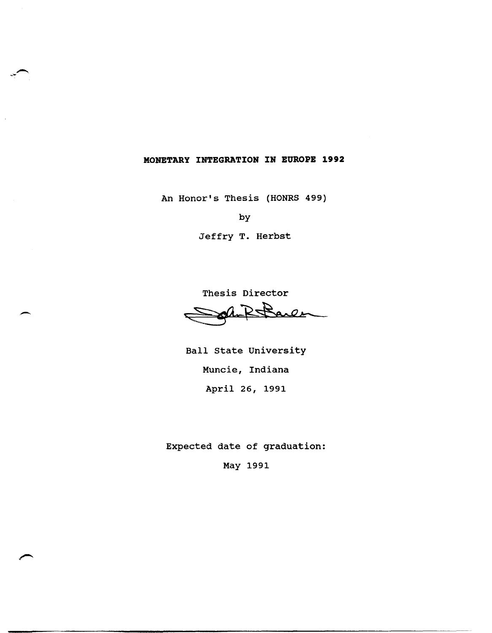## **MONETARY INTEGRATION IN EUROPE 1992**

An Honor's Thesis (HONRS 499)

by

Jeffry T. Herbst

Thesis Director arle

Ball state University Muncie, Indiana April 26, 1991

Expected date of graduation:

May 1991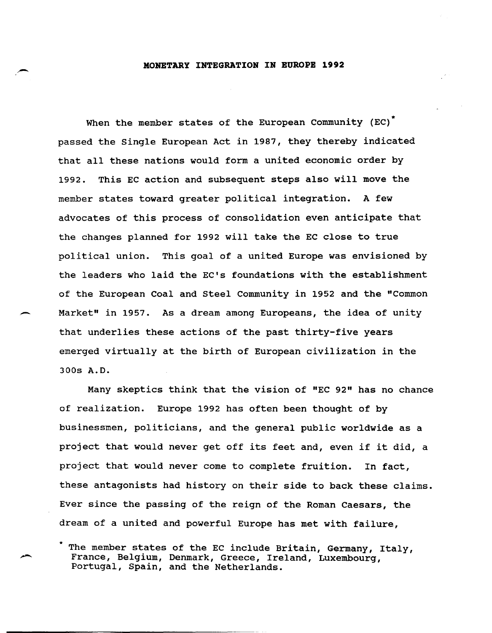## .,- **MONETARY INTEGRATION IN EUROPE 1992**

When the member states of the European Community (EC)<sup>\*</sup> passed the Single European Act in 1987, they thereby indicated that all these nations would form a united economic order by 1992. This EC action and subsequent steps also will move the member states toward greater political integration. A few advocates of this process of consolidation even anticipate that the changes planned for 1992 will take the EC close to true political union. This goal of a united Europe was envisioned by the leaders who laid the EC's foundations with the establishment of the European Coal and Steel Community in 1952 and the "Common Market" in 1957. As a dream among Europeans, the idea of unity that underlies these actions of the past thirty-five years emerged virtually at the birth of European civilization in the 300s A.D.

Many skeptics think that the vision of "EC 92" has no chance of realization. Europe 1992 has often been thought of by businessmen, politicians, and the general public worldwide as a project that would never get off its feet and, even if it did, a project that would never come to complete fruition. In fact, these antagonists had history on their side to back these claims. Ever since the passing of the reign of the Roman Caesars, the dream of a united and powerful Europe has met with failure,

The member states of the EC include Britain, Germany, Italy, France, Belgium, Denmark, Greece, Ireland, Luxembourg, Portugal, Spain, and the Netherlands.

,-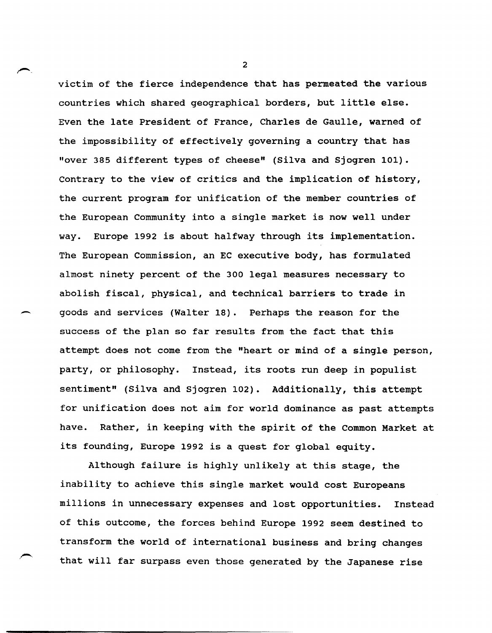victim of the fierce independence that has permeated the various countries which shared geographical borders, but little else. Even the late President of France, Charles de Gaulle, warned of the impossibility of effectively governing a country that has "over 385 different types of cheese" (Silva and Sjogren 101). Contrary to the view of critics and the implication of history, the current program for unification of the member countries of the European Community into a single market is now well under way. Europe 1992 is about halfway through its implementation. The European Commission, an EC executive body, has formulated almost ninety percent of the 300 legal measures necessary to abolish fiscal, physical, and technical barriers to trade in ~ goods and services (Walter 18). Perhaps the reason for the success of the plan so far results from the fact that this attempt does not come from the "heart or mind of a single person, party, or philosophy. Instead, its roots run deep in populist sentiment" (Silva and Sjogren 102). Additionally, this attempt for unification does not aim for world dominance as past attempts have. Rather, in keeping with the spirit of the Common Market at its founding, Europe 1992 is a quest for global equity.

Although failure is highly unlikely at this stage, the inability to achieve this single market would cost Europeans millions in unnecessary expenses and lost opportunities. Instead of this outcome, the forces behind Europe 1992 seem destined to transform the world of international business and bring changes that will far surpass even those generated by the Japanese rise

,,-...

 $\overline{2}$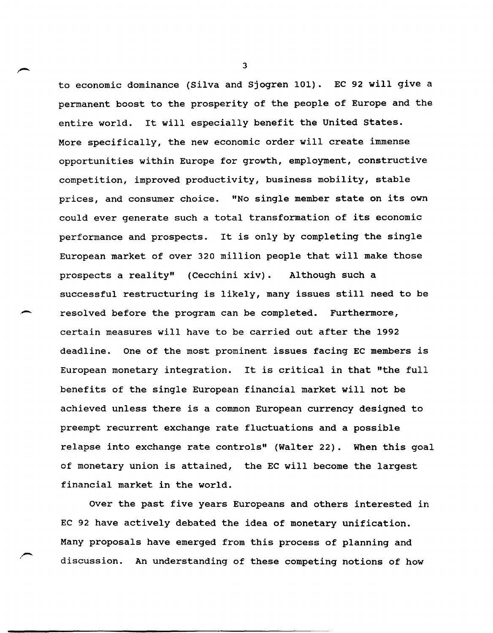to economic dominance (silva and Sjogren 101). EC 92 will give a permanent boost to the prosperity of the people of Europe and the entire world. It will especially benefit the United States. More specifically, the new economic order will create immense opportunities within Europe for growth, employment, constructive competition, improved productivity, business mobility, stable prices, and consumer choice. "No single member state on its own could ever generate such a total transformation of its economic performance and prospects. It is only by completing the single European market of over 320 million people that will make those prospects a reality" (Cecchini xiv). Although such a successful restructuring is likely, many issues still need to be resolved before the program can be completed. Furthermore, certain measures will have to be carried out after the 1992 deadline. One of the most prominent issues facing EC members is European monetary integration. It is critical in that "the full benefits of the single European financial market will not be achieved unless there is a common European currency designed to preempt recurrent exchange rate fluctuations and a possible relapse into exchange rate controls" (Walter 22). When this goal of monetary union is attained, the EC will become the largest financial market in the world.

.-

Over the past five years Europeans and others interested in EC 92 have actively debated the idea of monetary unification. Many proposals have emerged from this process of planning and discussion. An understanding of these competing notions of how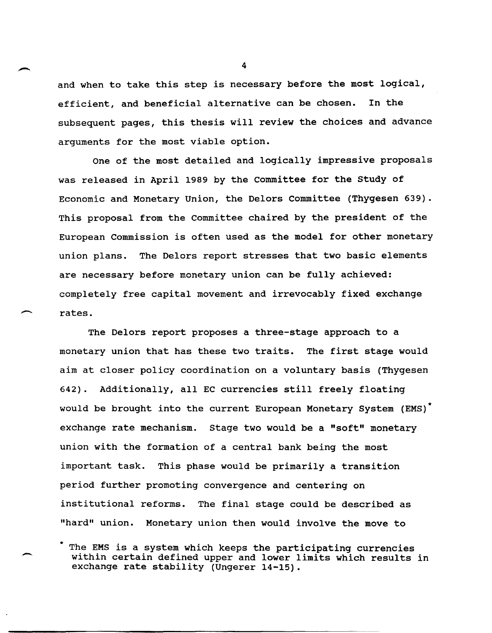and when to take this step is necessary before the most logical, efficient, and beneficial alternative can be chosen. In the subsequent pages, this thesis will review the choices and advance arguments for the most viable option.

One of the most detailed and logically impressive proposals was released in April 1989 by the committee for the study of Economic and Monetary Union, the Delors Committee (Thygesen 639). This proposal from the Committee chaired by the president of the European Commission is often used as the model for other monetary union plans. The Delors report stresses that two basic elements are necessary before monetary union can be fully achieved: completely free capital movement and irrevocably fixed exchange rates.

The Delors report proposes a three-stage approach to a monetary union that has these two traits. The first stage would aim at closer policy coordination on a voluntary basis (Thygesen 642). Additionally, all EC currencies still freely floating would be brought into the current European Monetary System (EMS) \* exchange rate mechanism. Stage two would be a "soft" monetary union with the formation of a central bank being the most important task. This phase would be primarily a transition period further promoting convergence and centering on institutional reforms. The final stage could be described as "hard" union. Monetary union then would involve the move to

 $\overline{\phantom{0}}$ 

 $\sim$  4

The EMS is a system which keeps the participating currencies within certain defined upper and lower limits which results in exchange rate stability (Ungerer 14-15).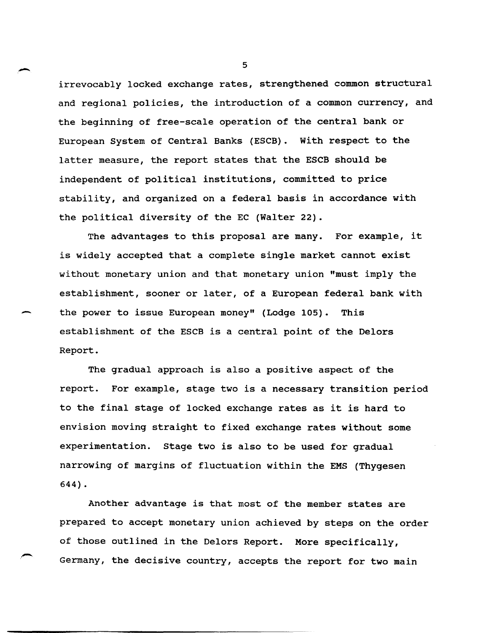irrevocably locked exchange rates, strengthened common structural and regional policies, the introduction of a common currency, and the beginning of free-scale operation of the central bank or European System of Central Banks (ESCB). with respect to the latter measure, the report states that the ESCB should be independent of political institutions, committed to price stability, and organized on a federal basis in accordance with the political diversity of the EC (Walter 22).

The advantages to this proposal are many. For example, it is widely accepted that a complete single market cannot exist without monetary union and that monetary union "must imply the establishment, sooner or later, of a European federal bank with the power to issue European money" (Lodge 105). This establishment of the ESCB is a central point of the Delors Report.

The gradual approach is also a positive aspect of the report. For example, stage two is a necessary transition period to the final stage of locked exchange rates as it is hard to envision moving straight to fixed exchange rates without some experimentation. stage two is also to be used for gradual narrowing of margins of fluctuation within the EMS (Thygesen 644) •

Another advantage is that most of the member states are prepared to accept monetary union achieved by steps on the order of those outlined in the Delors Report. More specifically, Germany, the decisive country, accepts the report for two main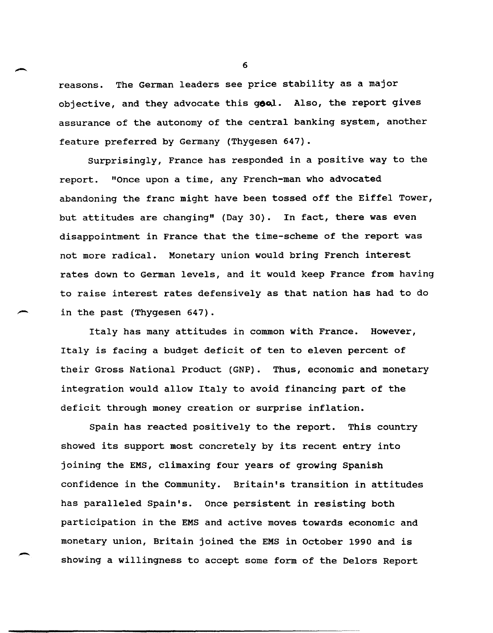reasons. The German leaders see price stability as a major objective, and they advocate this goal. Also, the report gives assurance of the autonomy of the central banking system, another feature preferred by Germany (Thygesen 647).

Surprisingly, France has responded in a positive way to the report. "Once upon a time, any French-man who advocated abandoning the franc might have been tossed off the Eiffel Tower, but attitudes are changing" (Day 30). In fact, there was even disappointment in France that the time-scheme of the report was not more radical. Monetary union would bring French interest rates down to German levels, and it would keep France from having to raise interest rates defensively as that nation has had to do in the past (Thygesen 647).

Italy has many attitudes in common with France. However, Italy is facing a budget deficit of ten to eleven percent of their Gross National Product (GNP). Thus, economic and monetary integration would allow Italy to avoid financing part of the deficit through money creation or surprise inflation.

Spain has reacted positively to the report. This country showed its support most concretely by its recent entry into joining the EMS, climaxing four years of growing Spanish confidence in the Community. Britain's transition in attitudes has paralleled Spain's. Once persistent in resisting both participation in the EMS and active moves towards economic and monetary union, Britain joined the EMS in October 1990 and is showing a willingness to accept some form of the Delors Report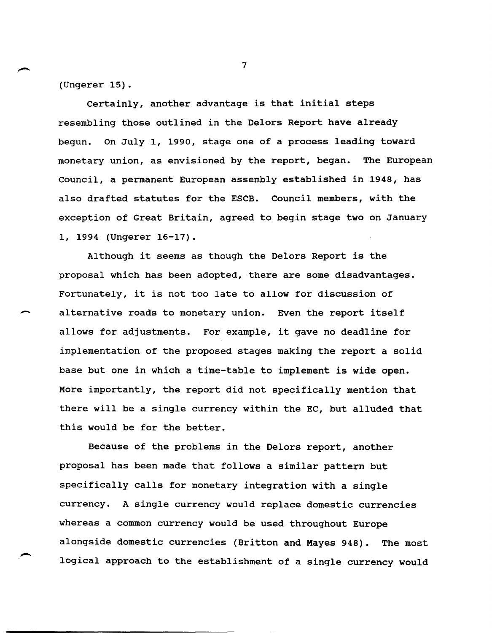(Ungerer 15).

Certainly, another advantage is that initial steps resembling those outlined in the Delors Report have already begun. On July 1, 1990, stage one of a process leading toward monetary union, as envisioned by the report, began. The European Council, a permanent European assembly established in 1948, has also drafted statutes for the ESCB. Council members, with the exception of Great Britain, agreed to begin stage two on January 1, 1994 (Ungerer 16-17).

Although it seems as though the Delors Report is the proposal which has been adopted, there are some disadvantages. Fortunately, it is not too late to allow for discussion of alternative roads to monetary union. Even the report itself allows for adjustments. For example, it gave no deadline for implementation of the proposed stages making the report a solid base but one in which a time-table to implement is wide open. More importantly, the report did not specifically mention that there will be a single currency within the EC, but alluded that this would be for the better.

Because of the problems in the Delors report, another proposal has been made that follows a similar pattern but specifically calls for monetary integration with a single currency. A single currency would replace domestic currencies whereas a common currency would be used throughout Europe alongside domestic currencies (Britton and Mayes 948). The most logical approach to the establishment of a single currency would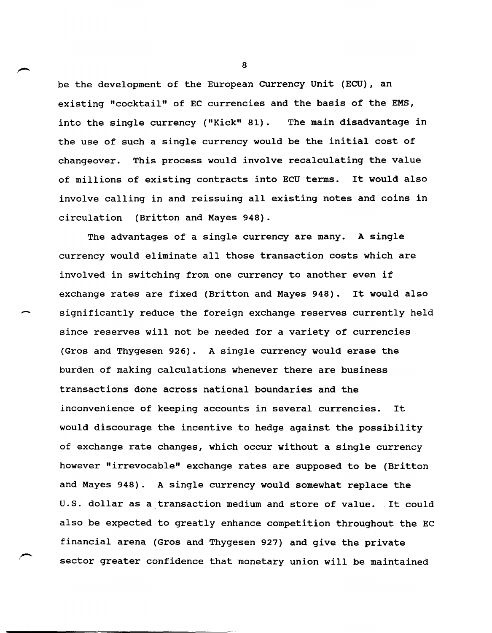be the development of the European Currency unit (ECU), an existing "cocktail" of EC currencies and the basis of the EMS, into the single currency ("Kick" 81). The main disadvantage in the use of such a single currency would be the initial cost of changeover. This process would involve recalculating the value of millions of existing contracts into ECU terms. It would also involve calling in and reissuing all existing notes and coins in circulation (Britton and Mayes 948).

The advantages of a single currency are many. A single currency would eliminate all those transaction costs which are involved in switching from one currency to another even if exchange rates are fixed (Britton and Mayes 948). It would also significantly reduce the foreign exchange reserves currently held since reserves will not be needed for a variety of currencies (Gros and Thygesen 926). A single currency would erase the burden of making calculations whenever there are business transactions done across national boundaries and the inconvenience of keeping accounts in several currencies. It would discourage the incentive to hedge against the possibility of exchange rate changes, which occur without a single currency however "irrevocable" exchange rates are supposed to be (Britton and Mayes 948). A single currency would somewhat replace the u.S. dollar as a transaction medium and store of value. It could also be expected to greatly enhance competition throughout the EC financial arena (Gros and Thygesen 927) and give the private sector greater confidence that monetary union will be maintained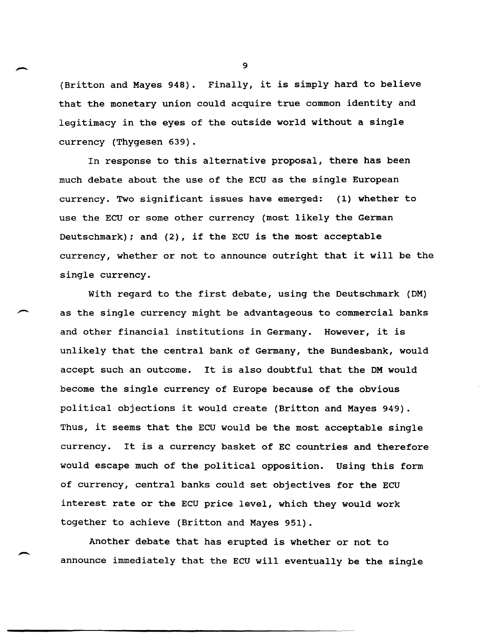(Britton and Mayes 948). Finally, it is simply hard to believe that the monetary union could acquire true common identity and legitimacy in the eyes of the outside world without a single currency (Thygesen 639).

In response to this alternative proposal, there has been much debate about the use of the ECU as the single European currency. Two significant issues have emerged: (1) whether to use the ECU or some other currency (most likely the German Deutschmark); and (2), if the ECU is the most acceptable currency, whether or not to announce outright that it will be the single currency.

With regard to the first debate, using the Deutschmark (DM) as the single currency might be advantageous to commercial banks and other financial institutions in Germany. However, it is unlikely that the central bank of Germany, the Bundesbank, would accept such an outcome. It is also doubtful that the DM would become the single currency of Europe because of the obvious political objections it would create (Britton and Mayes 949). Thus, it seems that the ECU would be the most acceptable single currency. It is a currency basket of EC countries and therefore would escape much of the political opposition. Using this form of currency, central banks could set objectives for the ECU interest rate or the ECU price level, which they would work together to achieve (Britton and Mayes 951).

Another debate that has erupted is whether or not to announce immediately that the ECU will eventually be the single

 $\ddot{q}$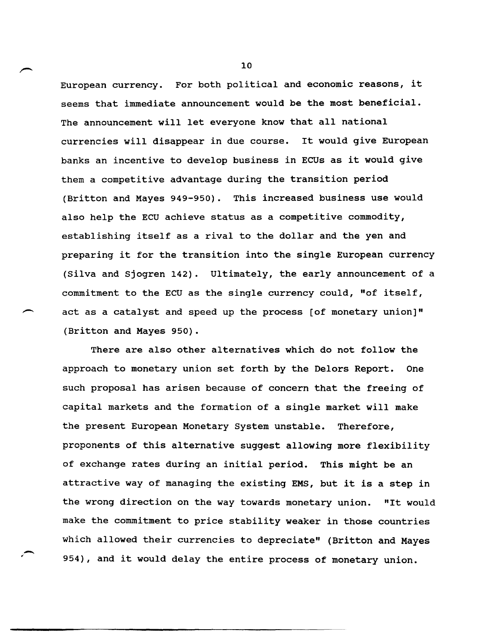European currency. For both political and economic reasons, it seems that immediate announcement would be the most beneficial. The announcement will let everyone know that all national currencies will disappear in due course. It would give European banks an incentive to develop business in ECUs as it would give them a competitive advantage during the transition period (Britton and Mayes 949-950). This increased business use would also help the ECU achieve status as a competitive commodity, establishing itself as a rival to the dollar and the yen and preparing it for the transition into the single European currency (Silva and sjogren 142). Ultimately, the early announcement of a commitment to the ECU as the single currency could, "of itself, act as a catalyst and speed up the process [of monetary union]" (Britton and Mayes 950).

There are also other alternatives which do not follow the approach to monetary union set forth by the Delors Report. One such proposal has arisen because of concern that the freeing of capital markets and the formation of a single market will make the present European Monetary system unstable. Therefore, proponents of this alternative suggest allowing more flexibility of exchange rates during an initial period. This might be an attractive way of managing the existing EMS, but it is a step in the wrong direction on the way towards monetary union. "It would make the commitment to price stability weaker in those countries which allowed their currencies to depreciate" (Britton and Mayes 954), and it would delay the entire process of monetary union.

.-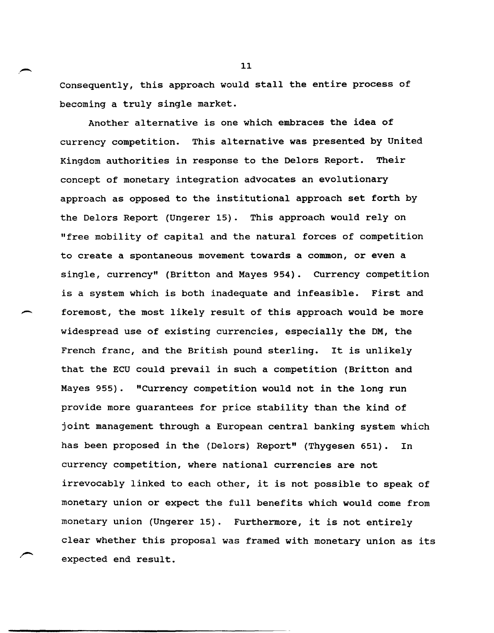Consequently, this approach would stall the entire process of becoming a truly single market.

Another alternative is one which embraces the idea of currency competition. This alternative was presented by united Kingdom authorities in response to the Delors Report. Their concept of monetary integration advocates an evolutionary approach as opposed to the institutional approach set forth by the Oelors Report (Ungerer 15). This approach would rely on "free mobility of capital and the natural forces of competition to create a spontaneous movement towards a common, or even a single, currency" (Britton and Mayes 954). Currency competition is a system which is both inadequate and infeasible. First and foremost, the most likely result of this approach would be more widespread use of existing currencies, especially the OM, the French franc, and the British pound sterling. It is unlikely that the ECU could prevail in such a competition (Britton and Mayes 955). "Currency competition would not in the long run provide more guarantees for price stability than the kind of joint management through a European central banking system which has been proposed in the (Oelors) Report" (Thygesen 651). In currency competition, where national currencies are not irrevocably linked to each other, it is not possible to speak of monetary union or expect the full benefits which would come from monetary union (Ungerer 15). Furthermore, it is not entirely clear whether this proposal was framed with monetary union as its expected end result.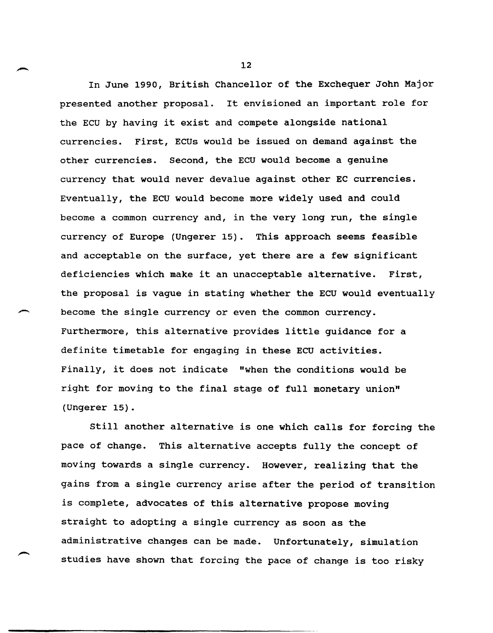In June 1990, British Chancellor of the Exchequer John Major presented another proposal. It envisioned an important role for the ECU by having it exist and compete alongside national currencies. First, ECUs would be issued on demand against the other currencies. Second, the ECU would become a genuine currency that would never devalue against other EC currencies. Eventually, the ECU would become more widely used and could become a common currency and, in the very long run, the single currency of Europe (Ungerer 15). This approach seems feasible and acceptable on the surface, yet there are a few significant deficiencies which make it an unacceptable alternative. First, the proposal is vague in stating whether the ECU would eventually become the single currency or even the common currency. Furthermore, this alternative provides little guidance for a definite timetable for engaging in these ECU activities. Finally, it does not indicate "when the conditions would be right for moving to the final stage of full monetary union" (Ungerer 15).

still another alternative is one which calls for forcing the pace of change. This alternative accepts fully the concept of moving towards a single currency. However, realizing that the gains from a single currency arise after the period of transition is complete, advocates of this alternative propose moving straight to adopting a single currency as soon as the administrative changes can be made. Unfortunately, simulation studies have shown that forcing the pace of change is too risky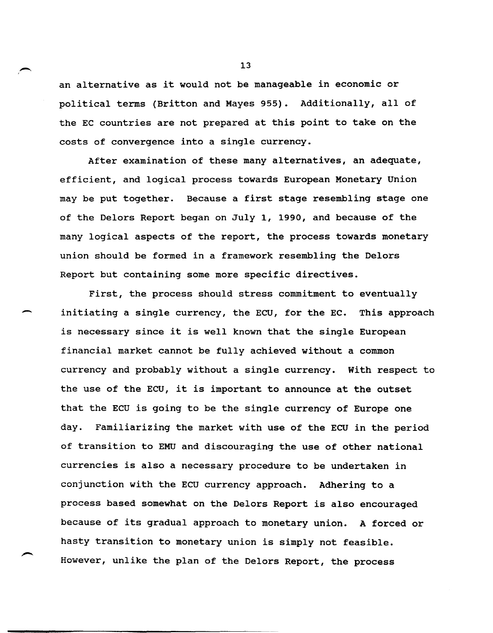an alternative as it would not be manageable in economic or political terms (Britton and Mayes 955). Additionally, all of the EC countries are not prepared at this point to take on the costs of convergence into a single currency.

After examination of these many alternatives, an adequate, efficient, and logical process towards European Monetary Union may be put together. Because a first stage resembling stage one of the Delors Report began on July 1, 1990, and because of the many logical aspects of the report, the process towards monetary union should be formed in a framework resembling the Delors Report but containing some more specific directives.

-

First, the process should stress commitment to eventually initiating a single currency, the ECU, for the EC. This approach is necessary since it is well known that the single European financial market cannot be fully achieved without a common currency and probably without a single currency. with respect to the use of the ECU, it is important to announce at the outset that the ECU is going to be the single currency of Europe one day. Familiarizing the market with use of the ECU in the period of transition to EMU and discouraging the use of other national currencies is also a necessary procedure to be undertaken in conjunction with the ECU currency approach. Adhering to a process based somewhat on the Delors Report is also encouraged because of its gradual approach to monetary union. A forced or hasty transition to monetary union is simply not feasible. However, unlike the plan of the Delors Report, the process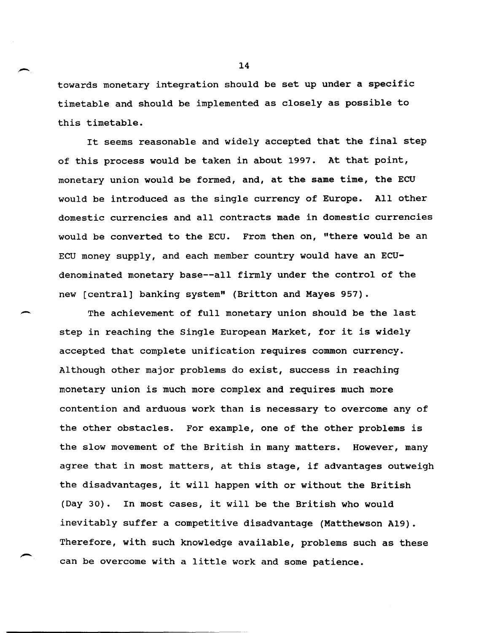towards monetary integration should be set up under a specific timetable and should be implemented as closely as possible to this timetable.

It seems reasonable and widely accepted that the final step of this process would be taken in about 1997. At that point, monetary union would be formed, and, at the same time, the ECU would be introduced as the single currency of Europe. All other domestic currencies and all contracts made in domestic currencies would be converted to the ECU. From then on, "there would be an ECU money supply, and each member country would have an ECUdenominated monetary base--all firmly under the control of the new [central] banking system" (Britton and Mayes 957).

 $\overline{\phantom{0}}$ 

,-

The achievement of full monetary union should be the last step in reaching the Single European Market, for it is widely accepted that complete unification requires common currency. Although other major problems do exist, success in reaching monetary union is much more complex and requires much more contention and arduous work than is necessary to overcome any of the other obstacles. For example, one of the other problems is the slow movement of the British in many matters. However, many agree that in most matters, at this stage, if advantages outweigh the disadvantages, it will happen with or without the British (Day 30). In most cases, it will be the British who would inevitably suffer a competitive disadvantage (Matthewson A19). Therefore, with such knowledge available, problems such as these can be overcome with a little work and some patience.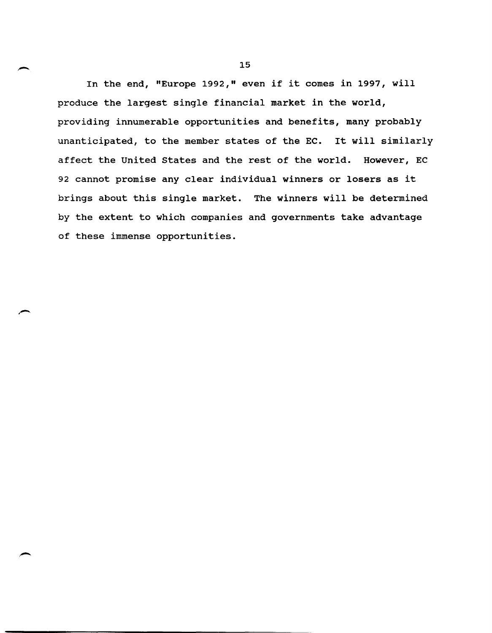In the end, "Europe 1992," even if it comes in 1997, will produce the largest single financial market in the world, providing innumerable opportunities and benefits, many probably unanticipated, to the member states of the EC. It will similarly affect the United states and the rest of the world. However, EC 92 cannot promise any clear individual winners or losers as it brings about this single market. The winners will be determined by the extent to which companies and governments take advantage of these immense opportunities.

,-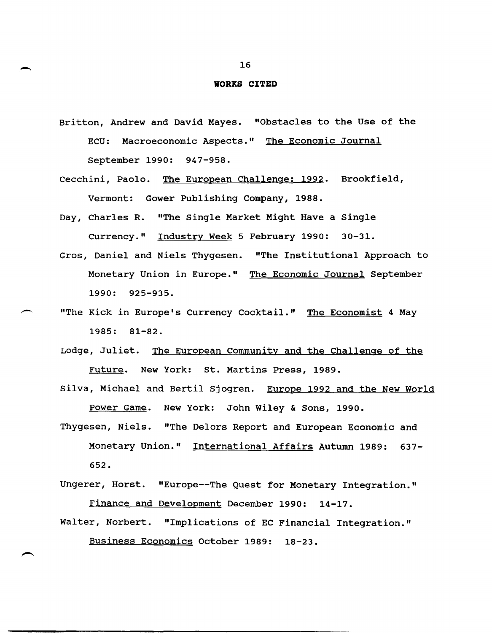## **WORRS CITED**

- Britton, Andrew and David Mayes. "Obstacles to the Use of the ECU: Macroeconomic Aspects." The Economic Journal September 1990: 947-958.
- Cecchini, Paolo. The European Challenge: 1992. Brookfield, Vermont: Gower Publishing Company, 1988.
- Day, Charles R. "The Single Market Might Have a Single Currency." Industry Week 5 February 1990: 30-31.
- Gros, Daniel and Niels Thygesen. "The Institutional Approach to Monetary Union in Europe." The Economic Journal September 1990: 925-935.
- "The Kick in Europe's Currency Cocktail." The Economist 4 May 1985: 81-82.
	- Lodge, Juliet. The European Community and the Challenge of the Future. New York: st. Martins Press, 1989.
	- Silva, Michael and Bertil Sjogren. Europe 1992 and the New World Power Game. New York: John Wiley & Sons, 1990.
	- Thygesen, Niels. "The Delors Report and European Economic and Monetary Union." International Affairs Autumn 1989: 637- 652.
	- Ungerer, Horst. "Europe--The Quest for Monetary Integration." Finance and Development December 1990: 14-17.
	- Walter, Norbert. "Implications of EC Financial Integration." Business Economics October 1989: 18-23.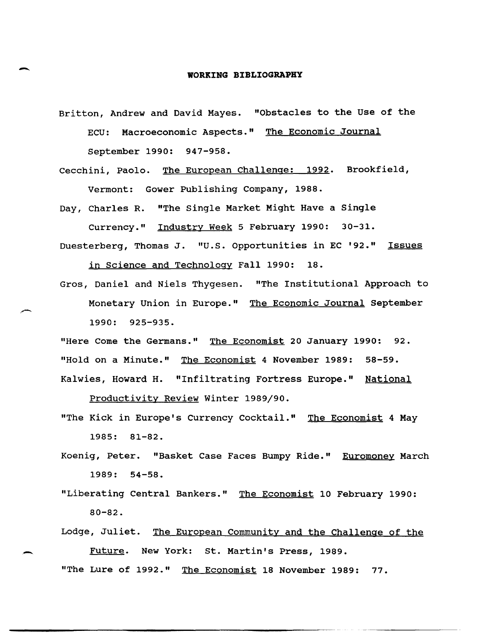## **A**<br> **WORKING BIBLIOGRAPHY**

- Britton, Andrew and David Mayes. "Obstacles to the Use of the ECU: Macroeconomic Aspects." The Economic Journal September 1990: 947-958.
- Cecchini, Paolo. The European Challenge: 1992. Brookfield, Vermont: Gower Publishing Company, 1988.

Day, Charles R. "The Single Market Might Have a Single Currency." Industry Week 5 February 1990: 30-31.

Duesterberg, Thomas J. "U.S. opportunities in EC '92." Issues

in Science and Technology Fall 1990: 18.

Gros, Daniel and Niels Thygesen. "The Institutional Approach to Monetary Union in Europe." The Economic Journal September 1990: 925-935.

"Here Come the Germans." The Economist 20 January 1990: 92. "Hold on a Minute." The Economist 4 November 1989: 58-59. Kalwies, Howard H. "Infiltrating Fortress Europe." National

productivity Review winter 1989/90.

- "The Kick in Europe's Currency Cocktail." The Economist 4 May 1985: 81-82.
- Koenig, Peter. "Basket Case Faces Bumpy Ride." Euromoney March 1989: 54-58.
- "Liberating Central Bankers." The Economist 10 February 1990: 80-82.
- Lodge, Juliet. The European Community and the Challenge of the Future. New York: St. Martin's Press, 1989.

"The Lure of 1992." The Economist 18 November 1989: 77.